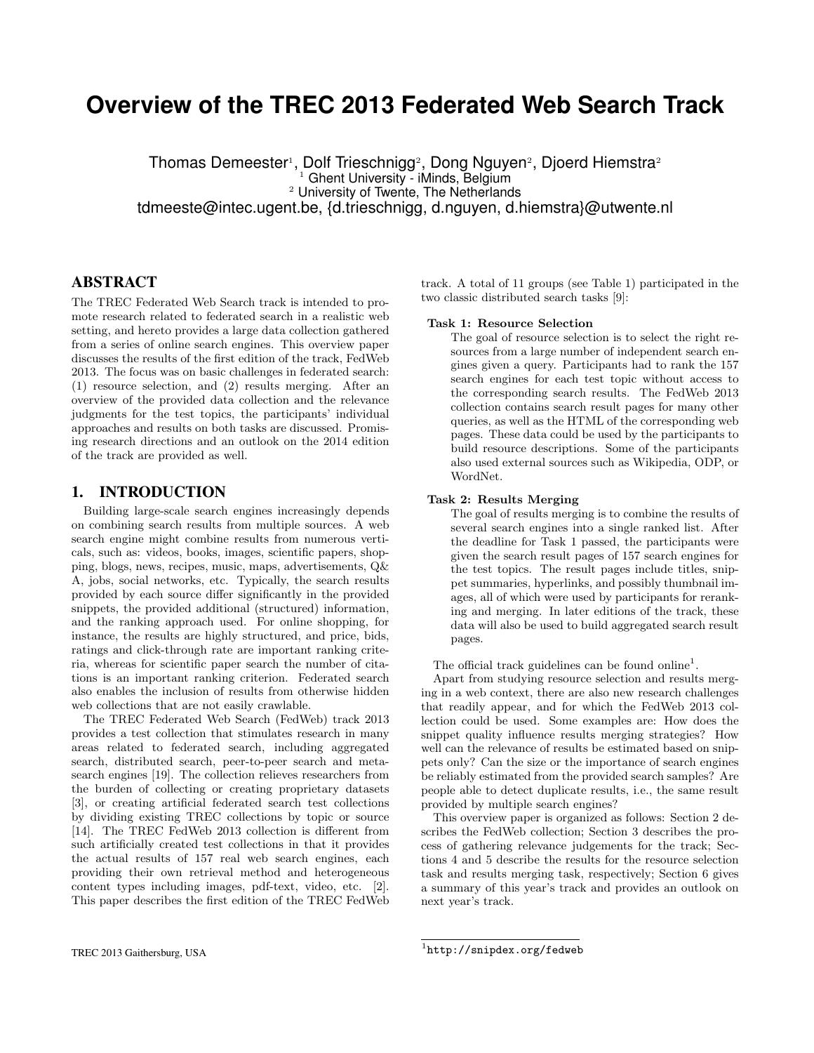# **Overview of the TREC 2013 Federated Web Search Track**

Thomas Demeester<sup>1</sup>, Dolf Trieschnigg<sup>2</sup>, Dong Nguyen<sup>2</sup>, Djoerd Hiemstra<sup>2</sup> <sup>1</sup> Ghent University - iMinds, Belgium <sup>2</sup> University of Twente, The Netherlands tdmeeste@intec.ugent.be, {d.trieschnigg, d.nguyen, d.hiemstra}@utwente.nl

# ABSTRACT

The TREC Federated Web Search track is intended to promote research related to federated search in a realistic web setting, and hereto provides a large data collection gathered from a series of online search engines. This overview paper discusses the results of the first edition of the track, FedWeb 2013. The focus was on basic challenges in federated search: (1) resource selection, and (2) results merging. After an overview of the provided data collection and the relevance judgments for the test topics, the participants' individual approaches and results on both tasks are discussed. Promising research directions and an outlook on the 2014 edition of the track are provided as well.

#### 1. INTRODUCTION

Building large-scale search engines increasingly depends on combining search results from multiple sources. A web search engine might combine results from numerous verticals, such as: videos, books, images, scientific papers, shopping, blogs, news, recipes, music, maps, advertisements, Q& A, jobs, social networks, etc. Typically, the search results provided by each source differ significantly in the provided snippets, the provided additional (structured) information, and the ranking approach used. For online shopping, for instance, the results are highly structured, and price, bids, ratings and click-through rate are important ranking criteria, whereas for scientific paper search the number of citations is an important ranking criterion. Federated search also enables the inclusion of results from otherwise hidden web collections that are not easily crawlable.

The TREC Federated Web Search (FedWeb) track 2013 provides a test collection that stimulates research in many areas related to federated search, including aggregated search, distributed search, peer-to-peer search and metasearch engines [19]. The collection relieves researchers from the burden of collecting or creating proprietary datasets [3], or creating artificial federated search test collections by dividing existing TREC collections by topic or source [14]. The TREC FedWeb 2013 collection is different from such artificially created test collections in that it provides the actual results of 157 real web search engines, each providing their own retrieval method and heterogeneous content types including images, pdf-text, video, etc. [2]. This paper describes the first edition of the TREC FedWeb track. A total of 11 groups (see Table 1) participated in the two classic distributed search tasks [9]:

#### Task 1: Resource Selection

The goal of resource selection is to select the right resources from a large number of independent search engines given a query. Participants had to rank the 157 search engines for each test topic without access to the corresponding search results. The FedWeb 2013 collection contains search result pages for many other queries, as well as the HTML of the corresponding web pages. These data could be used by the participants to build resource descriptions. Some of the participants also used external sources such as Wikipedia, ODP, or WordNet.

#### Task 2: Results Merging

The goal of results merging is to combine the results of several search engines into a single ranked list. After the deadline for Task 1 passed, the participants were given the search result pages of 157 search engines for the test topics. The result pages include titles, snippet summaries, hyperlinks, and possibly thumbnail images, all of which were used by participants for reranking and merging. In later editions of the track, these data will also be used to build aggregated search result pages.

The official track guidelines can be found online<sup>1</sup>.

Apart from studying resource selection and results merging in a web context, there are also new research challenges that readily appear, and for which the FedWeb 2013 collection could be used. Some examples are: How does the snippet quality influence results merging strategies? How well can the relevance of results be estimated based on snippets only? Can the size or the importance of search engines be reliably estimated from the provided search samples? Are people able to detect duplicate results, i.e., the same result provided by multiple search engines?

This overview paper is organized as follows: Section 2 describes the FedWeb collection; Section 3 describes the process of gathering relevance judgements for the track; Sections 4 and 5 describe the results for the resource selection task and results merging task, respectively; Section 6 gives a summary of this year's track and provides an outlook on next year's track.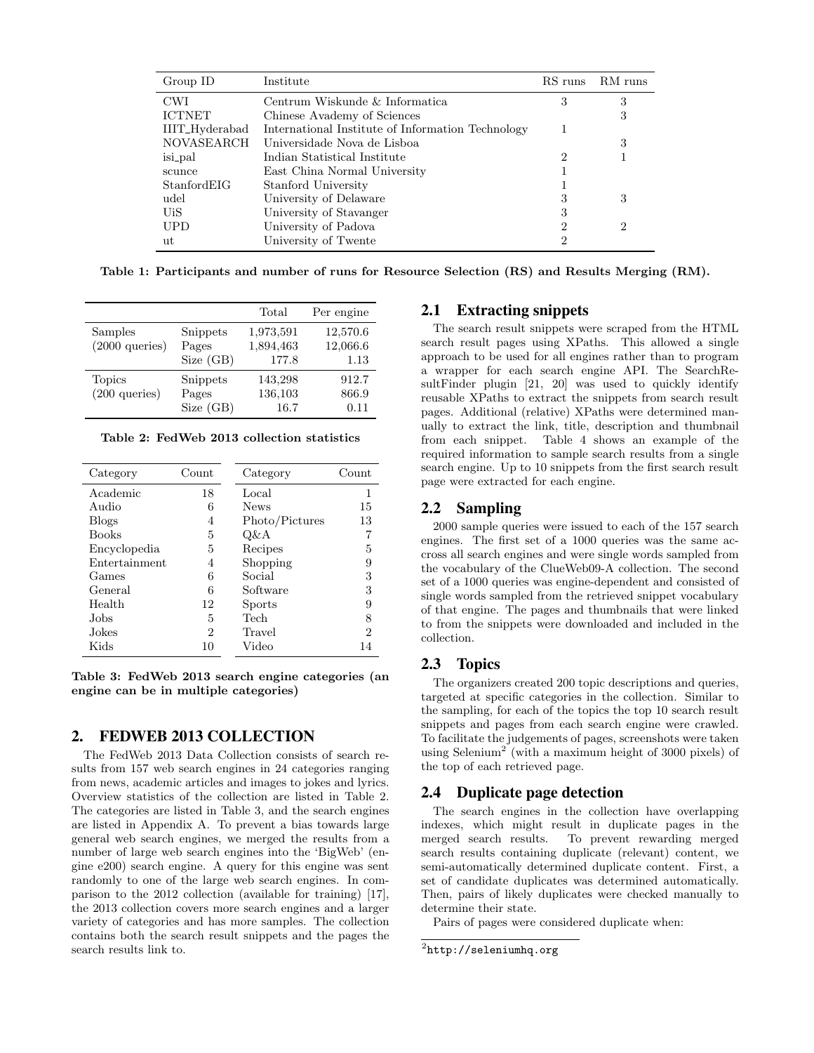| Group ID       | Institute                                         | RS runs | RM runs |
|----------------|---------------------------------------------------|---------|---------|
| <b>CWI</b>     | Centrum Wiskunde & Informatica                    | 3       | 3       |
| <b>ICTNET</b>  | Chinese Avademy of Sciences                       |         | 3       |
| IIIT_Hyderabad | International Institute of Information Technology |         |         |
| NOVASEARCH     | Universidade Nova de Lisboa                       |         | 3       |
| isi_pal        | Indian Statistical Institute                      | 2       |         |
| scunce         | East China Normal University                      |         |         |
| StanfordEIG    | Stanford University                               |         |         |
| udel           | University of Delaware                            | З       | 3       |
| UiS            | University of Stavanger                           | 3       |         |
| <b>UPD</b>     | University of Padova                              | 2       | 2       |
| ut             | University of Twente                              | 2       |         |

Table 1: Participants and number of runs for Resource Selection (RS) and Results Merging (RM).

|                                     |                                | Total                           | Per engine                   |
|-------------------------------------|--------------------------------|---------------------------------|------------------------------|
| Samples<br>$(2000 \text{ queries})$ | Snippets<br>Pages<br>Size (GB) | 1,973,591<br>1,894,463<br>177.8 | 12,570.6<br>12,066.6<br>1.13 |
| <b>Topics</b><br>$(200$ queries)    | Snippets<br>Pages<br>Size (GB) | 143,298<br>136,103<br>16.7      | 912.7<br>866.9<br>0.11       |

Table 2: FedWeb 2013 collection statistics

| Category      | Count | Category       | $\operatorname{Count}$ |
|---------------|-------|----------------|------------------------|
| Academic      | 18    | Local          | 1                      |
| Audio         | 6     | <b>News</b>    | 15                     |
| <b>Blogs</b>  | 4     | Photo/Pictures | 13                     |
| <b>Books</b>  | 5     | Q&A            |                        |
| Encyclopedia  | 5     | Recipes        | 5                      |
| Entertainment | 4     | Shopping       | 9                      |
| Games         | 6     | Social         | 3                      |
| General       | 6     | Software       | 3                      |
| Health        | 12    | <b>Sports</b>  | 9                      |
| Jobs.         | 5     | Tech           | 8                      |
| <b>Jokes</b>  | 2     | Travel         | 2                      |
| Kids          | 10    | Video          | 14                     |

Table 3: FedWeb 2013 search engine categories (an engine can be in multiple categories)

#### 2. FEDWEB 2013 COLLECTION

The FedWeb 2013 Data Collection consists of search results from 157 web search engines in 24 categories ranging from news, academic articles and images to jokes and lyrics. Overview statistics of the collection are listed in Table 2. The categories are listed in Table 3, and the search engines are listed in Appendix A. To prevent a bias towards large general web search engines, we merged the results from a number of large web search engines into the 'BigWeb' (engine e200) search engine. A query for this engine was sent randomly to one of the large web search engines. In comparison to the 2012 collection (available for training) [17], the 2013 collection covers more search engines and a larger variety of categories and has more samples. The collection contains both the search result snippets and the pages the search results link to.

# 2.1 Extracting snippets

The search result snippets were scraped from the HTML search result pages using XPaths. This allowed a single approach to be used for all engines rather than to program a wrapper for each search engine API. The SearchResultFinder plugin [21, 20] was used to quickly identify reusable XPaths to extract the snippets from search result pages. Additional (relative) XPaths were determined manually to extract the link, title, description and thumbnail from each snippet. Table 4 shows an example of the required information to sample search results from a single search engine. Up to 10 snippets from the first search result page were extracted for each engine.

## 2.2 Sampling

2000 sample queries were issued to each of the 157 search engines. The first set of a 1000 queries was the same accross all search engines and were single words sampled from the vocabulary of the ClueWeb09-A collection. The second set of a 1000 queries was engine-dependent and consisted of single words sampled from the retrieved snippet vocabulary of that engine. The pages and thumbnails that were linked to from the snippets were downloaded and included in the collection.

# 2.3 Topics

The organizers created 200 topic descriptions and queries, targeted at specific categories in the collection. Similar to the sampling, for each of the topics the top 10 search result snippets and pages from each search engine were crawled. To facilitate the judgements of pages, screenshots were taken using Selenium<sup>2</sup> (with a maximum height of 3000 pixels) of the top of each retrieved page.

#### 2.4 Duplicate page detection

The search engines in the collection have overlapping indexes, which might result in duplicate pages in the merged search results. To prevent rewarding merged search results containing duplicate (relevant) content, we semi-automatically determined duplicate content. First, a set of candidate duplicates was determined automatically. Then, pairs of likely duplicates were checked manually to determine their state.

Pairs of pages were considered duplicate when:

 $^2$ http://seleniumhq.org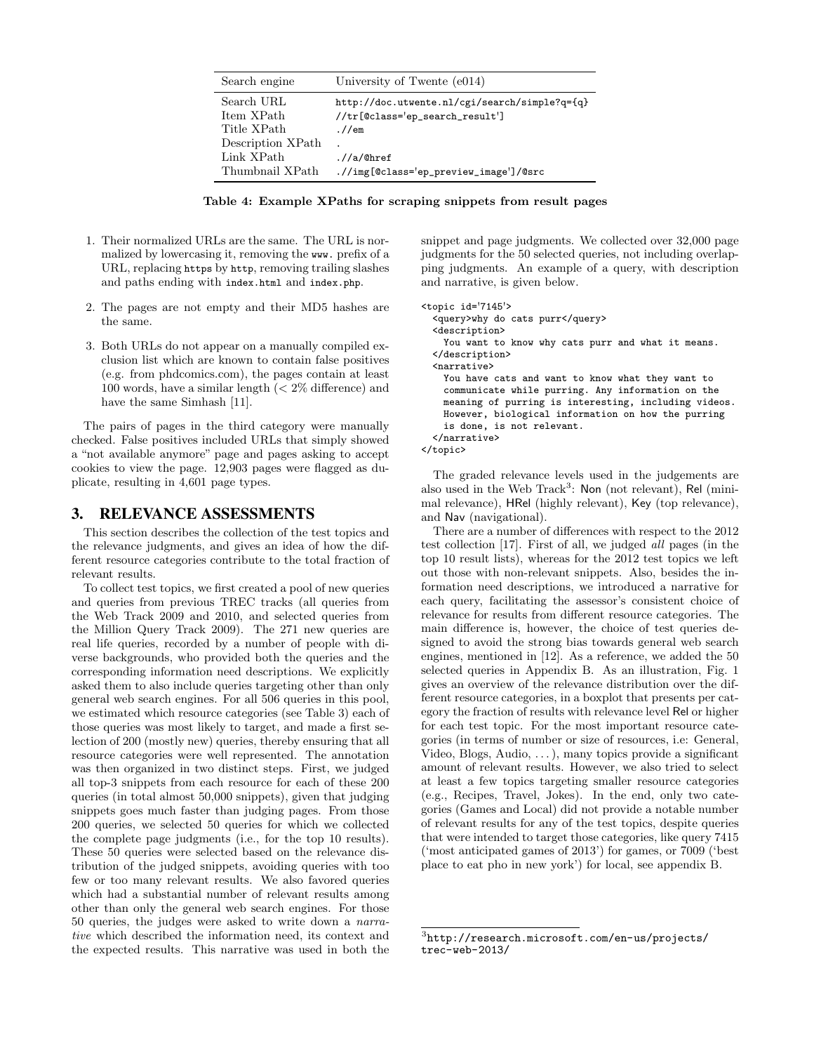| Search engine                                      | University of Twente (e014)                                                               |
|----------------------------------------------------|-------------------------------------------------------------------------------------------|
| Search URL<br>Item XPath<br>Title XPath            | http://doc.utwente.nl/cgi/search/simple?q={q}<br>//tr[@class='ep_search_result']<br>.//em |
| Description XPath<br>Link XPath<br>Thumbnail XPath | $\frac{1}{a}$ /0href<br>.//img[@class='ep_preview_image']/@src                            |

Table 4: Example XPaths for scraping snippets from result pages

- 1. Their normalized URLs are the same. The URL is normalized by lowercasing it, removing the www. prefix of a URL, replacing https by http, removing trailing slashes and paths ending with index.html and index.php.
- 2. The pages are not empty and their MD5 hashes are the same.
- 3. Both URLs do not appear on a manually compiled exclusion list which are known to contain false positives (e.g. from phdcomics.com), the pages contain at least 100 words, have a similar length (< 2% difference) and have the same Simhash [11].

The pairs of pages in the third category were manually checked. False positives included URLs that simply showed a "not available anymore" page and pages asking to accept cookies to view the page. 12,903 pages were flagged as duplicate, resulting in 4,601 page types.

#### 3. RELEVANCE ASSESSMENTS

This section describes the collection of the test topics and the relevance judgments, and gives an idea of how the different resource categories contribute to the total fraction of relevant results.

To collect test topics, we first created a pool of new queries and queries from previous TREC tracks (all queries from the Web Track 2009 and 2010, and selected queries from the Million Query Track 2009). The 271 new queries are real life queries, recorded by a number of people with diverse backgrounds, who provided both the queries and the corresponding information need descriptions. We explicitly asked them to also include queries targeting other than only general web search engines. For all 506 queries in this pool, we estimated which resource categories (see Table 3) each of those queries was most likely to target, and made a first selection of 200 (mostly new) queries, thereby ensuring that all resource categories were well represented. The annotation was then organized in two distinct steps. First, we judged all top-3 snippets from each resource for each of these 200 queries (in total almost 50,000 snippets), given that judging snippets goes much faster than judging pages. From those 200 queries, we selected 50 queries for which we collected the complete page judgments (i.e., for the top 10 results). These 50 queries were selected based on the relevance distribution of the judged snippets, avoiding queries with too few or too many relevant results. We also favored queries which had a substantial number of relevant results among other than only the general web search engines. For those 50 queries, the judges were asked to write down a narrative which described the information need, its context and the expected results. This narrative was used in both the

snippet and page judgments. We collected over 32,000 page judgments for the 50 selected queries, not including overlapping judgments. An example of a query, with description and narrative, is given below.

```
<topic id='7145'>
  <query>why do cats purr</query>
  <description>
   You want to know why cats purr and what it means.
  </description>
  <narrative>
   You have cats and want to know what they want to
   communicate while purring. Any information on the
   meaning of purring is interesting, including videos.
   However, biological information on how the purring
   is done, is not relevant.
  </narrative>
</topic>
```
The graded relevance levels used in the judgements are also used in the Web Track<sup>3</sup>: Non (not relevant), Rel (minimal relevance), HRel (highly relevant), Key (top relevance), and Nav (navigational).

There are a number of differences with respect to the 2012 test collection [17]. First of all, we judged all pages (in the top 10 result lists), whereas for the 2012 test topics we left out those with non-relevant snippets. Also, besides the information need descriptions, we introduced a narrative for each query, facilitating the assessor's consistent choice of relevance for results from different resource categories. The main difference is, however, the choice of test queries designed to avoid the strong bias towards general web search engines, mentioned in [12]. As a reference, we added the 50 selected queries in Appendix B. As an illustration, Fig. 1 gives an overview of the relevance distribution over the different resource categories, in a boxplot that presents per category the fraction of results with relevance level Rel or higher for each test topic. For the most important resource categories (in terms of number or size of resources, i.e: General, Video, Blogs, Audio, . . . ), many topics provide a significant amount of relevant results. However, we also tried to select at least a few topics targeting smaller resource categories (e.g., Recipes, Travel, Jokes). In the end, only two categories (Games and Local) did not provide a notable number of relevant results for any of the test topics, despite queries that were intended to target those categories, like query 7415 ('most anticipated games of 2013') for games, or 7009 ('best place to eat pho in new york') for local, see appendix B.

 $^3$ http://research.microsoft.com/en-us/projects/ trec-web-2013/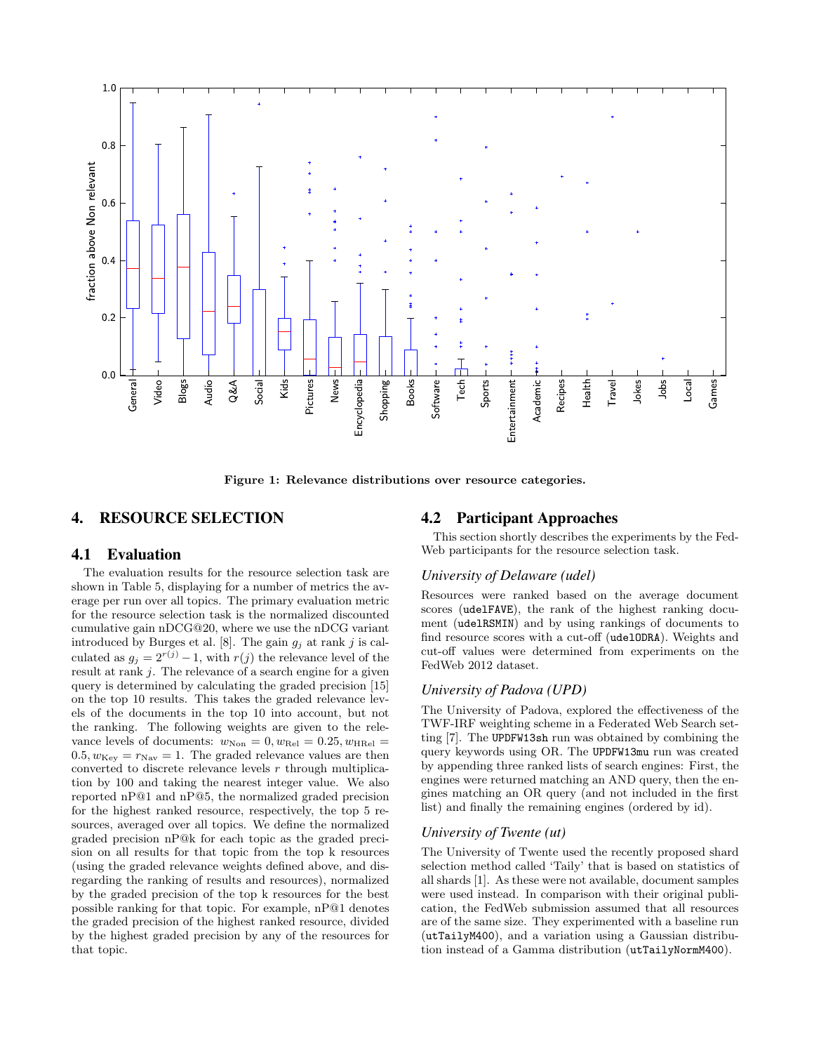

Figure 1: Relevance distributions over resource categories.

# 4. RESOURCE SELECTION

#### 4.1 Evaluation

The evaluation results for the resource selection task are shown in Table 5, displaying for a number of metrics the average per run over all topics. The primary evaluation metric for the resource selection task is the normalized discounted cumulative gain nDCG@20, where we use the nDCG variant introduced by Burges et al. [8]. The gain  $g_j$  at rank j is calculated as  $g_j = 2^{r(j)} - 1$ , with  $r(j)$  the relevance level of the result at rank j. The relevance of a search engine for a given query is determined by calculating the graded precision [15] on the top 10 results. This takes the graded relevance levels of the documents in the top 10 into account, but not the ranking. The following weights are given to the relevance levels of documents:  $w_{\text{Non}} = 0, w_{\text{Rel}} = 0.25, w_{\text{HRel}} =$  $0.5, w_{\text{Key}} = r_{\text{Nav}} = 1$ . The graded relevance values are then converted to discrete relevance levels  $r$  through multiplication by 100 and taking the nearest integer value. We also reported nP@1 and nP@5, the normalized graded precision for the highest ranked resource, respectively, the top 5 resources, averaged over all topics. We define the normalized graded precision nP@k for each topic as the graded precision on all results for that topic from the top k resources (using the graded relevance weights defined above, and disregarding the ranking of results and resources), normalized by the graded precision of the top k resources for the best possible ranking for that topic. For example, nP@1 denotes the graded precision of the highest ranked resource, divided by the highest graded precision by any of the resources for that topic.

#### 4.2 Participant Approaches

This section shortly describes the experiments by the Fed-Web participants for the resource selection task.

#### *University of Delaware (udel)*

Resources were ranked based on the average document scores (udelFAVE), the rank of the highest ranking document (udelRSMIN) and by using rankings of documents to find resource scores with a cut-off (udelODRA). Weights and cut-off values were determined from experiments on the FedWeb 2012 dataset.

#### *University of Padova (UPD)*

The University of Padova, explored the effectiveness of the TWF-IRF weighting scheme in a Federated Web Search setting [7]. The UPDFW13sh run was obtained by combining the query keywords using OR. The UPDFW13mu run was created by appending three ranked lists of search engines: First, the engines were returned matching an AND query, then the engines matching an OR query (and not included in the first list) and finally the remaining engines (ordered by id).

#### *University of Twente (ut)*

The University of Twente used the recently proposed shard selection method called 'Taily' that is based on statistics of all shards [1]. As these were not available, document samples were used instead. In comparison with their original publication, the FedWeb submission assumed that all resources are of the same size. They experimented with a baseline run (utTailyM400), and a variation using a Gaussian distribution instead of a Gamma distribution (utTailyNormM400).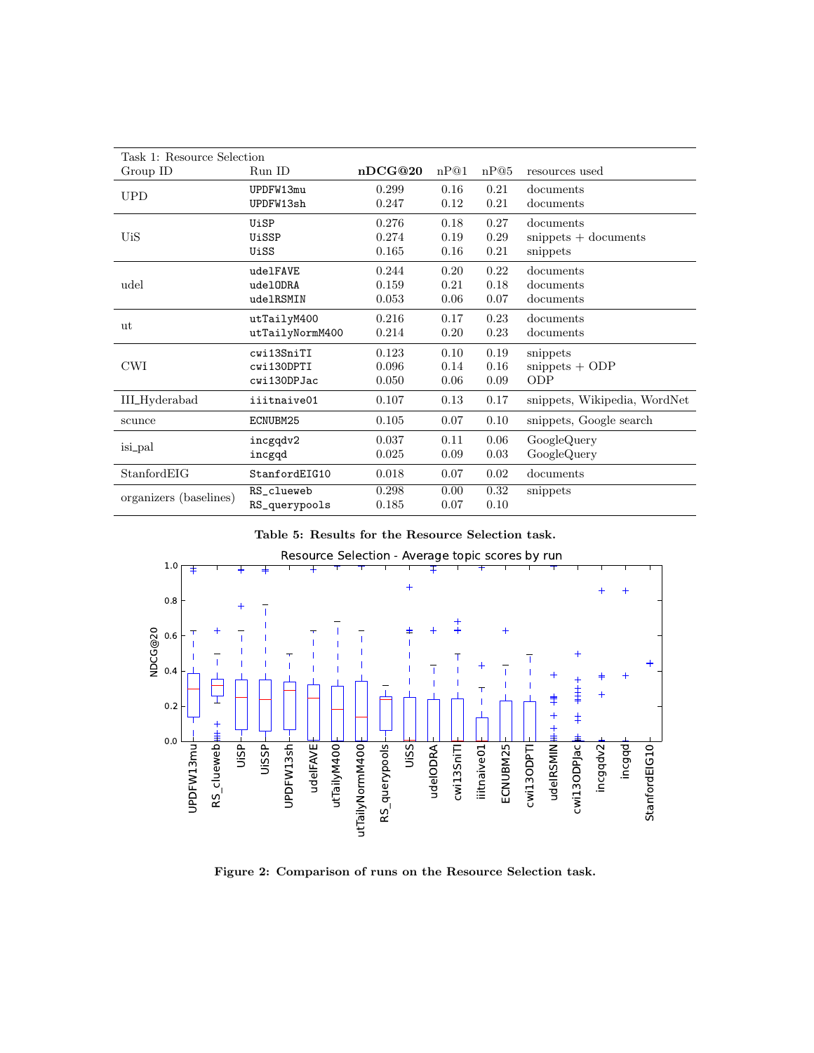| Task 1: Resource Selection |                 |         |      |      |                              |
|----------------------------|-----------------|---------|------|------|------------------------------|
| $\operatorname{Group}$ ID  | Run ID          | nDCG@20 | nP@1 | nP@5 | resources used               |
| <b>UPD</b>                 | UPDFW13mu       | 0.299   | 0.16 | 0.21 | documents                    |
|                            | UPDFW13sh       | 0.247   | 0.12 | 0.21 | documents                    |
|                            | UiSP            | 0.276   | 0.18 | 0.27 | documents                    |
| <b>UiS</b>                 | UiSSP           | 0.274   | 0.19 | 0.29 | $snippets + documents$       |
|                            | UiSS            | 0.165   | 0.16 | 0.21 | snippets                     |
|                            | udelFAVE        | 0.244   | 0.20 | 0.22 | documents                    |
| udel                       | udelODRA        | 0.159   | 0.21 | 0.18 | documents                    |
|                            | udelRSMIN       | 0.053   | 0.06 | 0.07 | documents                    |
| ut                         | utTailyM400     | 0.216   | 0.17 | 0.23 | documents                    |
|                            | utTailyNormM400 | 0.214   | 0.20 | 0.23 | documents                    |
|                            | cwi13SniTI      | 0.123   | 0.10 | 0.19 | snippets                     |
| <b>CWI</b>                 | cwi130DPTI      | 0.096   | 0.14 | 0.16 | $snippets + ODP$             |
|                            | cwi130DPJac     | 0.050   | 0.06 | 0.09 | <b>ODP</b>                   |
| <b>IIL</b> Hyderabad       | iiitnaive01     | 0.107   | 0.13 | 0.17 | snippets, Wikipedia, WordNet |
| scunce                     | ECNUBM25        | 0.105   | 0.07 | 0.10 | snippets, Google search      |
| isi_pal                    | incgqdv2        | 0.037   | 0.11 | 0.06 | GoogleQuery                  |
|                            | incgqd          | 0.025   | 0.09 | 0.03 | GoogleQuery                  |
| StanfordEIG                | StanfordEIG10   | 0.018   | 0.07 | 0.02 | documents                    |
|                            | RS_clueweb      | 0.298   | 0.00 | 0.32 | snippets                     |
| organizers (baselines)     | RS_querypools   | 0.185   | 0.07 | 0.10 |                              |

|  |  |  |  | Table 5: Results for the Resource Selection task. |  |  |
|--|--|--|--|---------------------------------------------------|--|--|
|--|--|--|--|---------------------------------------------------|--|--|



Figure 2: Comparison of runs on the Resource Selection task.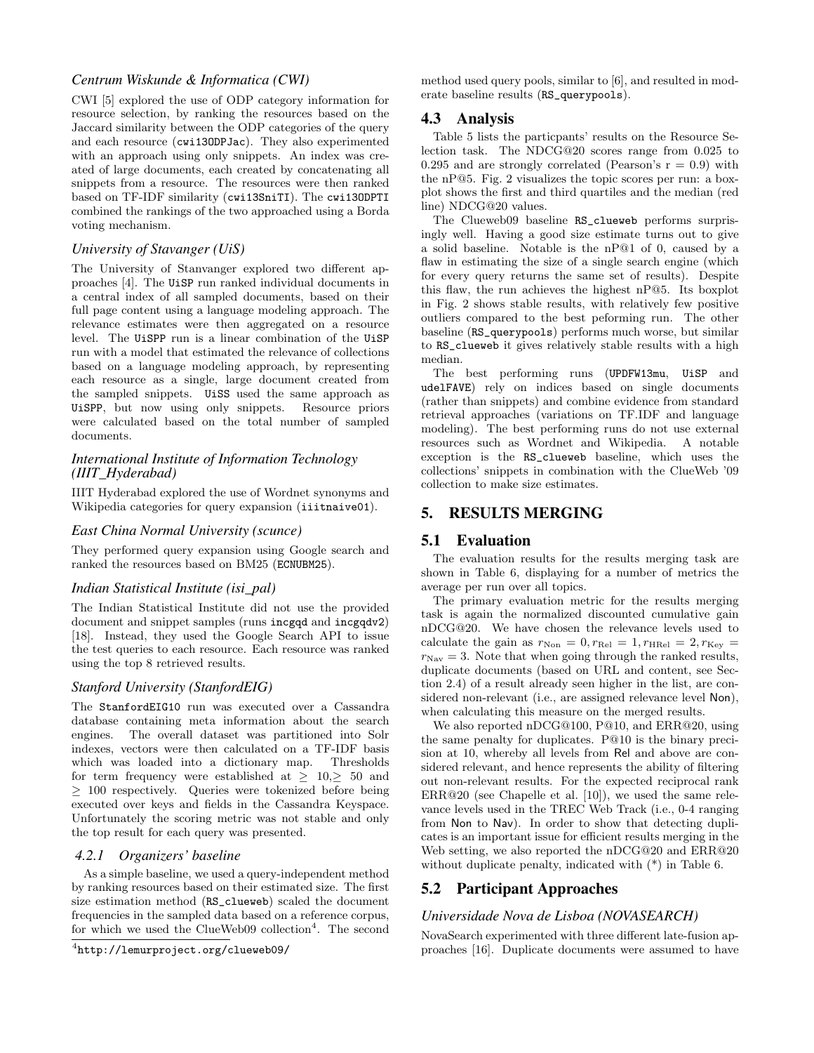# *Centrum Wiskunde & Informatica (CWI)*

CWI [5] explored the use of ODP category information for resource selection, by ranking the resources based on the Jaccard similarity between the ODP categories of the query and each resource (cwi13ODPJac). They also experimented with an approach using only snippets. An index was created of large documents, each created by concatenating all snippets from a resource. The resources were then ranked based on TF-IDF similarity (cwi13SniTI). The cwi13ODPTI combined the rankings of the two approached using a Borda voting mechanism.

#### *University of Stavanger (UiS)*

The University of Stanvanger explored two different approaches [4]. The UiSP run ranked individual documents in a central index of all sampled documents, based on their full page content using a language modeling approach. The relevance estimates were then aggregated on a resource level. The UiSPP run is a linear combination of the UiSP run with a model that estimated the relevance of collections based on a language modeling approach, by representing each resource as a single, large document created from the sampled snippets. UiSS used the same approach as UiSPP, but now using only snippets. Resource priors were calculated based on the total number of sampled documents.

# *International Institute of Information Technology (IIIT\_Hyderabad)*

IIIT Hyderabad explored the use of Wordnet synonyms and Wikipedia categories for query expansion (iiitnaive01).

#### *East China Normal University (scunce)*

They performed query expansion using Google search and ranked the resources based on BM25 (ECNUBM25).

#### *Indian Statistical Institute (isi\_pal)*

The Indian Statistical Institute did not use the provided document and snippet samples (runs incgqd and incgqdv2) [18]. Instead, they used the Google Search API to issue the test queries to each resource. Each resource was ranked using the top 8 retrieved results.

# *Stanford University (StanfordEIG)*

The StanfordEIG10 run was executed over a Cassandra database containing meta information about the search engines. The overall dataset was partitioned into Solr indexes, vectors were then calculated on a TF-IDF basis which was loaded into a dictionary map. Thresholds for term frequency were established at  $\geq 10, \geq 50$  and ≥ 100 respectively. Queries were tokenized before being executed over keys and fields in the Cassandra Keyspace. Unfortunately the scoring metric was not stable and only the top result for each query was presented.

#### *4.2.1 Organizers' baseline*

As a simple baseline, we used a query-independent method by ranking resources based on their estimated size. The first size estimation method (RS\_clueweb) scaled the document frequencies in the sampled data based on a reference corpus, for which we used the ClueWeb09 collection<sup>4</sup>. The second

method used query pools, similar to [6], and resulted in moderate baseline results (RS\_querypools).

# 4.3 Analysis

Table 5 lists the particpants' results on the Resource Selection task. The NDCG@20 scores range from 0.025 to 0.295 and are strongly correlated (Pearson's  $r = 0.9$ ) with the nP@5. Fig. 2 visualizes the topic scores per run: a boxplot shows the first and third quartiles and the median (red line) NDCG@20 values.

The Clueweb09 baseline RS\_clueweb performs surprisingly well. Having a good size estimate turns out to give a solid baseline. Notable is the nP@1 of 0, caused by a flaw in estimating the size of a single search engine (which for every query returns the same set of results). Despite this flaw, the run achieves the highest nP@5. Its boxplot in Fig. 2 shows stable results, with relatively few positive outliers compared to the best peforming run. The other baseline (RS\_querypools) performs much worse, but similar to RS\_clueweb it gives relatively stable results with a high median.

The best performing runs (UPDFW13mu, UiSP and udelFAVE) rely on indices based on single documents (rather than snippets) and combine evidence from standard retrieval approaches (variations on TF.IDF and language modeling). The best performing runs do not use external resources such as Wordnet and Wikipedia. A notable exception is the RS\_clueweb baseline, which uses the collections' snippets in combination with the ClueWeb '09 collection to make size estimates.

# 5. RESULTS MERGING

# 5.1 Evaluation

The evaluation results for the results merging task are shown in Table 6, displaying for a number of metrics the average per run over all topics.

The primary evaluation metric for the results merging task is again the normalized discounted cumulative gain nDCG@20. We have chosen the relevance levels used to calculate the gain as  $r_{\text{Non}} = 0, r_{\text{Rel}} = 1, r_{\text{HRel}} = 2, r_{\text{Key}} =$  $r_{\text{Nav}} = 3$ . Note that when going through the ranked results, duplicate documents (based on URL and content, see Section 2.4) of a result already seen higher in the list, are considered non-relevant (i.e., are assigned relevance level Non), when calculating this measure on the merged results.

We also reported nDCG@100, P@10, and ERR@20, using the same penalty for duplicates. P@10 is the binary precision at 10, whereby all levels from Rel and above are considered relevant, and hence represents the ability of filtering out non-relevant results. For the expected reciprocal rank ERR@20 (see Chapelle et al. [10]), we used the same relevance levels used in the TREC Web Track (i.e., 0-4 ranging from Non to Nav). In order to show that detecting duplicates is an important issue for efficient results merging in the Web setting, we also reported the nDCG@20 and ERR@20 without duplicate penalty, indicated with (\*) in Table 6.

# 5.2 Participant Approaches

#### *Universidade Nova de Lisboa (NOVASEARCH)*

NovaSearch experimented with three different late-fusion approaches [16]. Duplicate documents were assumed to have

<sup>4</sup> http://lemurproject.org/clueweb09/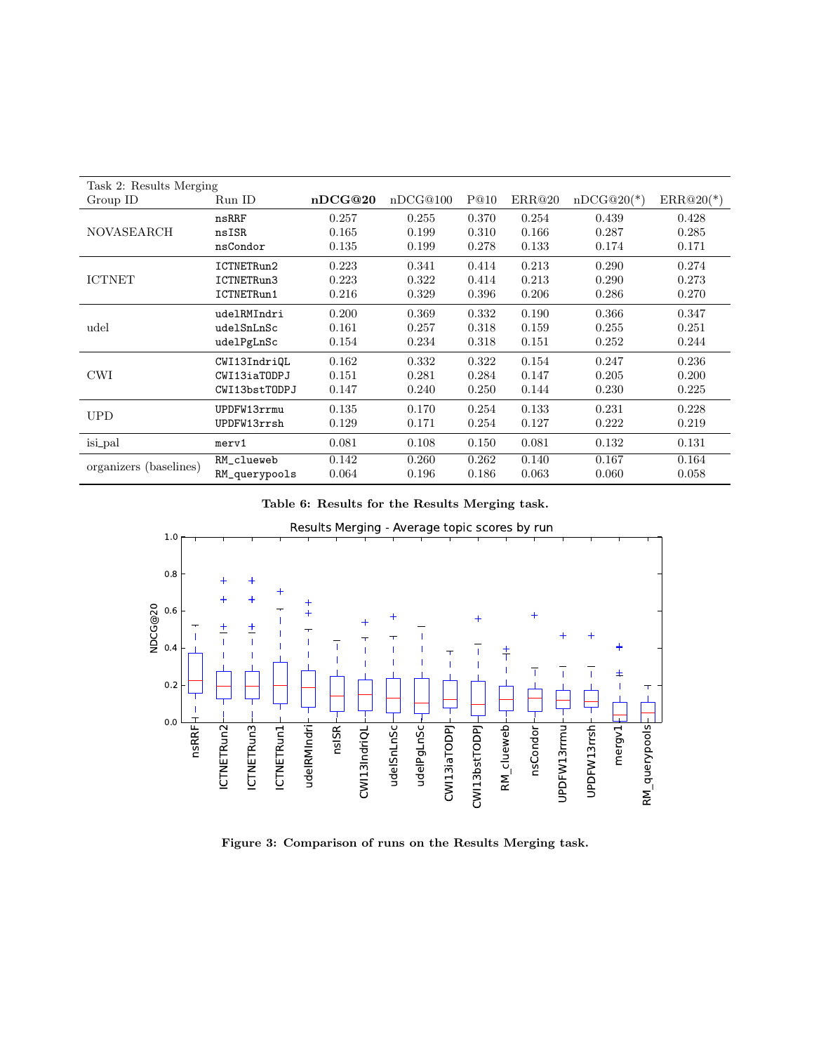| Task 2: Results Merging                                         |                                       |  |  |  |  |
|-----------------------------------------------------------------|---------------------------------------|--|--|--|--|
| nDCG@20<br>nDCG@100<br>P@10<br>Run ID<br>Group ID               | ERR@20<br>$nDCG@20(*)$<br>$ERR@20(*)$ |  |  |  |  |
| 0.370<br>0.257<br>0.255<br>nsRRF                                | 0.254<br>0.439<br>0.428               |  |  |  |  |
| <b>NOVASEARCH</b><br>0.165<br>0.199<br>0.310<br>nsISR           | 0.166<br>0.287<br>0.285               |  |  |  |  |
| 0.278<br>0.135<br>0.199<br>nsCondor                             | 0.133<br>0.174<br>0.171               |  |  |  |  |
| 0.223<br>0.341<br>0.414<br>ICTNETRun2                           | 0.213<br>0.290<br>0.274               |  |  |  |  |
| <b>ICTNET</b><br>0.223<br>0.322<br>0.414<br>ICTNETRun3          | 0.213<br>0.273<br>0.290               |  |  |  |  |
| 0.216<br>0.329<br>0.396<br>ICTNETRun1                           | 0.206<br>0.270<br>0.286               |  |  |  |  |
| 0.200<br>0.369<br>0.332<br>udelRMIndri                          | 0.190<br>0.366<br>0.347               |  |  |  |  |
| 0.318<br>0.161<br>0.257<br>udel<br>udelSnLnSc                   | 0.159<br>0.255<br>0.251               |  |  |  |  |
| 0.318<br>0.154<br>0.234<br>udelPgLnSc                           | 0.151<br>0.244<br>0.252               |  |  |  |  |
| 0.162<br>0.332<br>0.322<br>CWI13IndriQL                         | 0.154<br>0.247<br>0.236               |  |  |  |  |
| <b>CWI</b><br>0.151<br>0.281<br>0.284<br>CWI13iaTODPJ           | 0.147<br>0.205<br>0.200               |  |  |  |  |
| 0.147<br>0.240<br>0.250<br>CWI13bstTODPJ                        | 0.144<br>0.230<br>0.225               |  |  |  |  |
| 0.135<br>0.170<br>0.254<br>UPDFW13rrmu<br><b>UPD</b>            | 0.133<br>0.231<br>0.228               |  |  |  |  |
| 0.129<br>0.254<br>UPDFW13rrsh<br>0.171                          | 0.127<br>0.219<br>0.222               |  |  |  |  |
| <i>isi_pal</i><br>0.081<br>0.108<br>0.150<br>merv1              | 0.081<br>0.132<br>0.131               |  |  |  |  |
| 0.142<br>0.260<br>0.262<br>RM_clueweb<br>organizers (baselines) | 0.140<br>0.164<br>0.167               |  |  |  |  |
| 0.064<br>0.186<br>0.196<br>RM_querypools                        | 0.063<br>0.060<br>0.058               |  |  |  |  |

Table 6: Results for the Results Merging task.



Figure 3: Comparison of runs on the Results Merging task.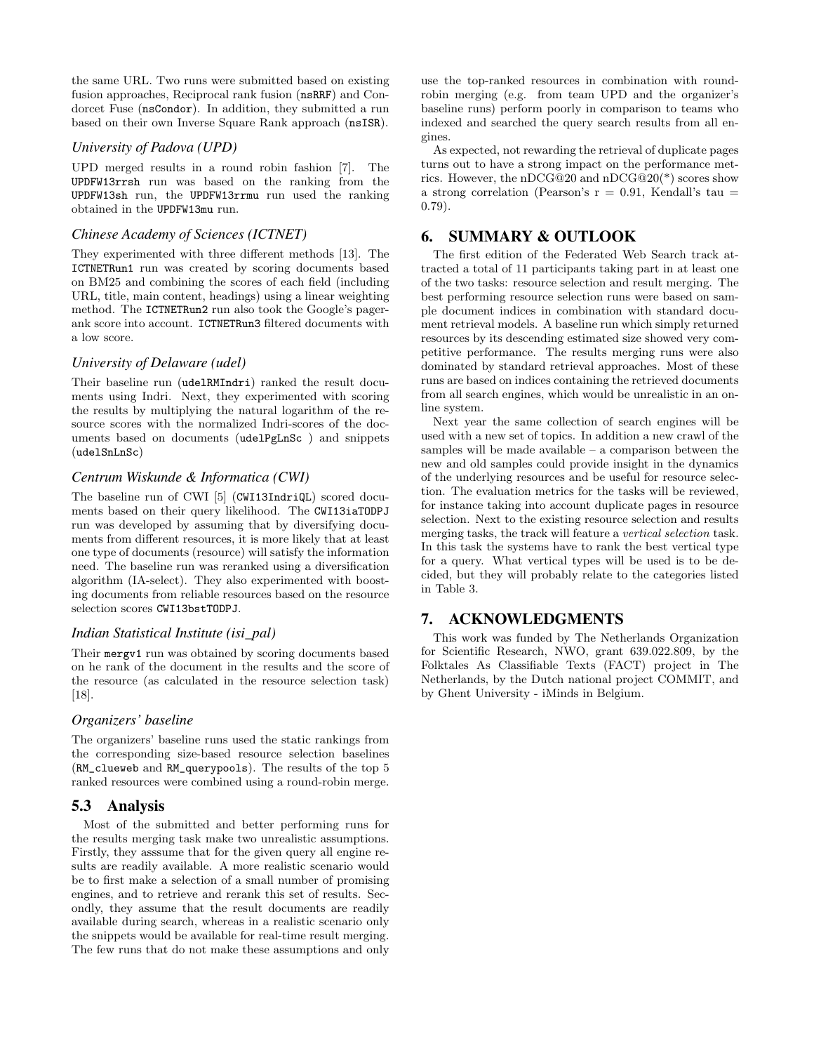the same URL. Two runs were submitted based on existing fusion approaches, Reciprocal rank fusion (nsRRF) and Condorcet Fuse (nsCondor). In addition, they submitted a run based on their own Inverse Square Rank approach (nsISR).

#### *University of Padova (UPD)*

UPD merged results in a round robin fashion [7]. The UPDFW13rrsh run was based on the ranking from the UPDFW13sh run, the UPDFW13rrmu run used the ranking obtained in the UPDFW13mu run.

# *Chinese Academy of Sciences (ICTNET)*

They experimented with three different methods [13]. The ICTNETRun1 run was created by scoring documents based on BM25 and combining the scores of each field (including URL, title, main content, headings) using a linear weighting method. The ICTNETRun2 run also took the Google's pagerank score into account. ICTNETRun3 filtered documents with a low score.

## *University of Delaware (udel)*

Their baseline run (udelRMIndri) ranked the result documents using Indri. Next, they experimented with scoring the results by multiplying the natural logarithm of the resource scores with the normalized Indri-scores of the documents based on documents (udelPgLnSc ) and snippets (udelSnLnSc)

#### *Centrum Wiskunde & Informatica (CWI)*

The baseline run of CWI [5] (CWI13IndriQL) scored documents based on their query likelihood. The CWI13iaTODPJ run was developed by assuming that by diversifying documents from different resources, it is more likely that at least one type of documents (resource) will satisfy the information need. The baseline run was reranked using a diversification algorithm (IA-select). They also experimented with boosting documents from reliable resources based on the resource selection scores CWI13bstTODPJ.

#### *Indian Statistical Institute (isi\_pal)*

Their mergv1 run was obtained by scoring documents based on he rank of the document in the results and the score of the resource (as calculated in the resource selection task) [18].

# *Organizers' baseline*

The organizers' baseline runs used the static rankings from the corresponding size-based resource selection baselines (RM\_clueweb and RM\_querypools). The results of the top 5 ranked resources were combined using a round-robin merge.

# 5.3 Analysis

Most of the submitted and better performing runs for the results merging task make two unrealistic assumptions. Firstly, they asssume that for the given query all engine results are readily available. A more realistic scenario would be to first make a selection of a small number of promising engines, and to retrieve and rerank this set of results. Secondly, they assume that the result documents are readily available during search, whereas in a realistic scenario only the snippets would be available for real-time result merging. The few runs that do not make these assumptions and only

use the top-ranked resources in combination with roundrobin merging (e.g. from team UPD and the organizer's baseline runs) perform poorly in comparison to teams who indexed and searched the query search results from all engines.

As expected, not rewarding the retrieval of duplicate pages turns out to have a strong impact on the performance metrics. However, the nDCG@20 and nDCG@20(\*) scores show a strong correlation (Pearson's  $r = 0.91$ , Kendall's tau = 0.79).

# 6. SUMMARY & OUTLOOK

The first edition of the Federated Web Search track attracted a total of 11 participants taking part in at least one of the two tasks: resource selection and result merging. The best performing resource selection runs were based on sample document indices in combination with standard document retrieval models. A baseline run which simply returned resources by its descending estimated size showed very competitive performance. The results merging runs were also dominated by standard retrieval approaches. Most of these runs are based on indices containing the retrieved documents from all search engines, which would be unrealistic in an online system.

Next year the same collection of search engines will be used with a new set of topics. In addition a new crawl of the samples will be made available – a comparison between the new and old samples could provide insight in the dynamics of the underlying resources and be useful for resource selection. The evaluation metrics for the tasks will be reviewed, for instance taking into account duplicate pages in resource selection. Next to the existing resource selection and results merging tasks, the track will feature a vertical selection task. In this task the systems have to rank the best vertical type for a query. What vertical types will be used is to be decided, but they will probably relate to the categories listed in Table 3.

# 7. ACKNOWLEDGMENTS

This work was funded by The Netherlands Organization for Scientific Research, NWO, grant 639.022.809, by the Folktales As Classifiable Texts (FACT) project in The Netherlands, by the Dutch national project COMMIT, and by Ghent University - iMinds in Belgium.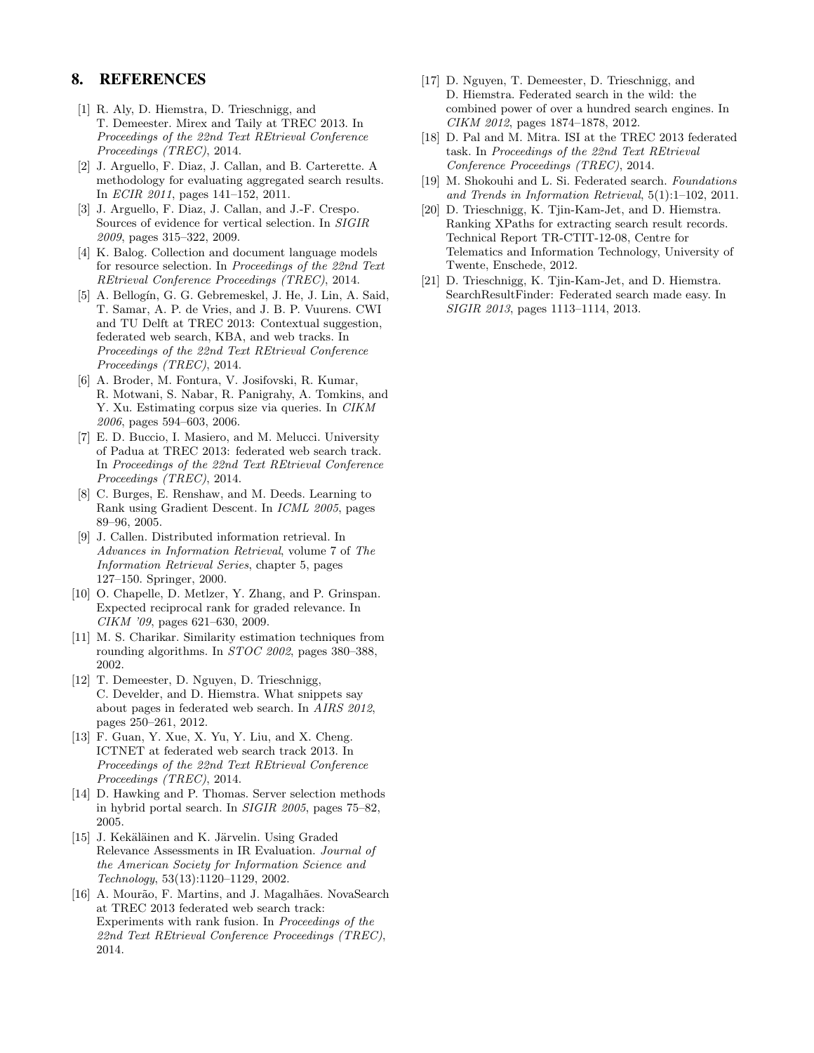# 8. REFERENCES

- [1] R. Aly, D. Hiemstra, D. Trieschnigg, and T. Demeester. Mirex and Taily at TREC 2013. In Proceedings of the 22nd Text REtrieval Conference Proceedings (TREC), 2014.
- [2] J. Arguello, F. Diaz, J. Callan, and B. Carterette. A methodology for evaluating aggregated search results. In ECIR 2011, pages 141–152, 2011.
- [3] J. Arguello, F. Diaz, J. Callan, and J.-F. Crespo. Sources of evidence for vertical selection. In SIGIR 2009, pages 315–322, 2009.
- [4] K. Balog. Collection and document language models for resource selection. In Proceedings of the 22nd Text REtrieval Conference Proceedings (TREC), 2014.
- [5] A. Bellogín, G. G. Gebremeskel, J. He, J. Lin, A. Said, T. Samar, A. P. de Vries, and J. B. P. Vuurens. CWI and TU Delft at TREC 2013: Contextual suggestion, federated web search, KBA, and web tracks. In Proceedings of the 22nd Text REtrieval Conference Proceedings (TREC), 2014.
- [6] A. Broder, M. Fontura, V. Josifovski, R. Kumar, R. Motwani, S. Nabar, R. Panigrahy, A. Tomkins, and Y. Xu. Estimating corpus size via queries. In CIKM 2006, pages 594–603, 2006.
- [7] E. D. Buccio, I. Masiero, and M. Melucci. University of Padua at TREC 2013: federated web search track. In Proceedings of the 22nd Text REtrieval Conference Proceedings (TREC), 2014.
- [8] C. Burges, E. Renshaw, and M. Deeds. Learning to Rank using Gradient Descent. In ICML 2005, pages 89–96, 2005.
- [9] J. Callen. Distributed information retrieval. In Advances in Information Retrieval, volume 7 of The Information Retrieval Series, chapter 5, pages 127–150. Springer, 2000.
- [10] O. Chapelle, D. Metlzer, Y. Zhang, and P. Grinspan. Expected reciprocal rank for graded relevance. In CIKM '09, pages 621–630, 2009.
- [11] M. S. Charikar. Similarity estimation techniques from rounding algorithms. In STOC 2002, pages 380–388, 2002.
- [12] T. Demeester, D. Nguyen, D. Trieschnigg, C. Develder, and D. Hiemstra. What snippets say about pages in federated web search. In AIRS 2012, pages 250–261, 2012.
- [13] F. Guan, Y. Xue, X. Yu, Y. Liu, and X. Cheng. ICTNET at federated web search track 2013. In Proceedings of the 22nd Text REtrieval Conference Proceedings (TREC), 2014.
- [14] D. Hawking and P. Thomas. Server selection methods in hybrid portal search. In SIGIR 2005, pages 75–82, 2005.
- [15] J. Kekäläinen and K. Järvelin. Using Graded Relevance Assessments in IR Evaluation. Journal of the American Society for Information Science and Technology, 53(13):1120–1129, 2002.
- [16] A. Mourão, F. Martins, and J. Magalhães. NovaSearch at TREC 2013 federated web search track: Experiments with rank fusion. In Proceedings of the 22nd Text REtrieval Conference Proceedings (TREC), 2014.
- [17] D. Nguyen, T. Demeester, D. Trieschnigg, and D. Hiemstra. Federated search in the wild: the combined power of over a hundred search engines. In CIKM 2012, pages 1874–1878, 2012.
- [18] D. Pal and M. Mitra. ISI at the TREC 2013 federated task. In Proceedings of the 22nd Text REtrieval Conference Proceedings (TREC), 2014.
- [19] M. Shokouhi and L. Si. Federated search. Foundations and Trends in Information Retrieval, 5(1):1–102, 2011.
- [20] D. Trieschnigg, K. Tjin-Kam-Jet, and D. Hiemstra. Ranking XPaths for extracting search result records. Technical Report TR-CTIT-12-08, Centre for Telematics and Information Technology, University of Twente, Enschede, 2012.
- [21] D. Trieschnigg, K. Tjin-Kam-Jet, and D. Hiemstra. SearchResultFinder: Federated search made easy. In SIGIR 2013, pages 1113–1114, 2013.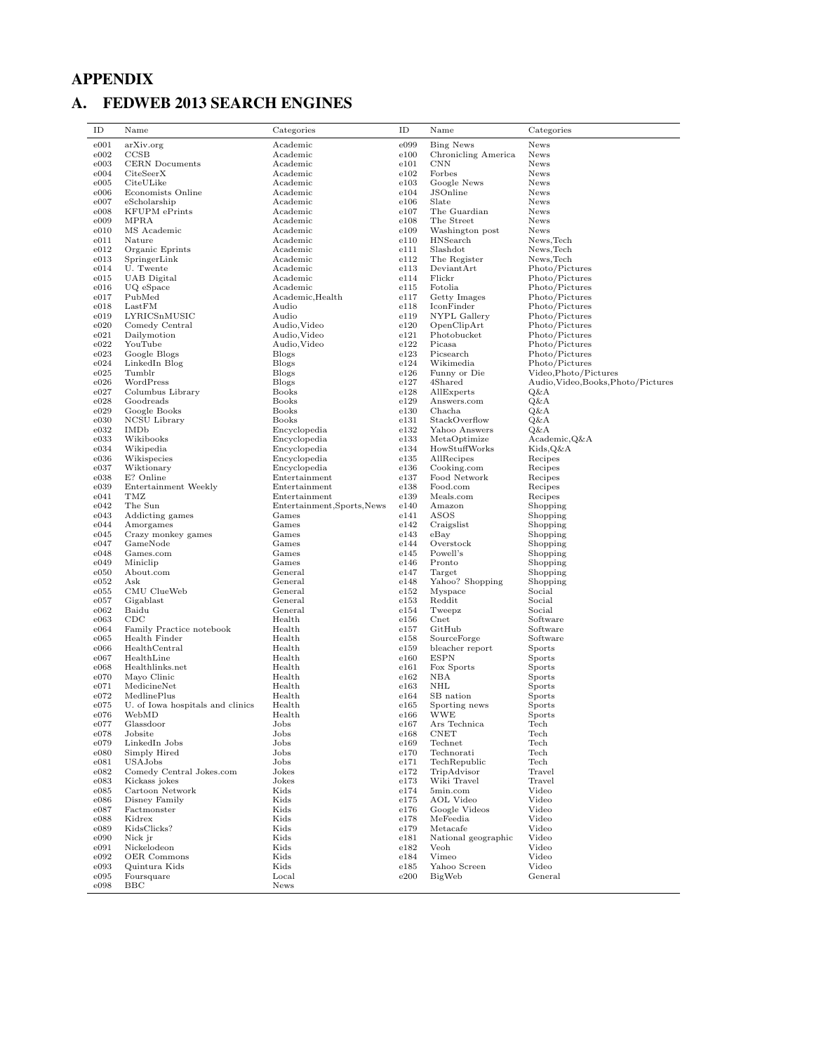# APPENDIX

# A. FEDWEB 2013 SEARCH ENGINES

| ID           | Name                                      | Categories                   | ID            | Name                           | Categories                              |
|--------------|-------------------------------------------|------------------------------|---------------|--------------------------------|-----------------------------------------|
| e001         | arXiv.org                                 | Academic                     | e099          | <b>Bing News</b>               | News                                    |
| e002         | CCSB                                      | Academic                     | e100          | Chronicling America            | News                                    |
| e003         | <b>CERN</b> Documents                     | Academic                     | e101          | $\text{CNN}$                   | News                                    |
| e004         | CiteSeerX                                 | Academic                     | e102          | Forbes                         | News                                    |
| e005<br>e006 | CiteULike<br>Economists Online            | Academic<br>Academic         | e103<br>e104  | Google News<br>JSOnline        | News<br>News                            |
| e007         | eScholarship                              | Academic                     | $_{\rm e106}$ | Slate                          | News                                    |
| e008         | <b>KFUPM</b> ePrints                      | Academic                     | e107          | The Guardian                   | News                                    |
| e009         | MPRA                                      | Academic                     | e108          | The Street                     | <b>News</b>                             |
| e010         | MS Academic                               | Academic                     | e109          | Washington post                | News                                    |
| e011         | Nature                                    | Academic                     | e110          | HNSearch                       | News, Tech                              |
| e012         | Organic Eprints                           | Academic                     | e111          | Slashdot                       | News, Tech                              |
| e013         | SpringerLink                              | Academic                     | e112          | The Register                   | News, Tech                              |
| e014         | U. Twente                                 | Academic<br>Academic         | e113<br>e114  | DeviantArt<br>Flickr           | Photo/Pictures<br>Photo/Pictures        |
| e015<br>e016 | UAB Digital<br>UQ eSpace                  | Academic                     | e115          | Fotolia                        | Photo/Pictures                          |
| e017         | PubMed                                    | Academic, Health             | e117          | Getty Images                   | Photo/Pictures                          |
| e018         | LastFM                                    | Audio                        | e118          | IconFinder                     | Photo/Pictures                          |
| e019         | LYRICSnMUSIC                              | Audio                        | e119          | NYPL Gallery                   | Photo/Pictures                          |
| e020         | Comedy Central                            | Audio, Video                 | e120          | OpenClipArt                    | Photo/Pictures                          |
| e021         | Dailymotion                               | Audio, Video                 | e121          | Photobucket                    | Photo/Pictures                          |
| e022         | YouTube                                   | Audio, Video                 | e122          | Picasa                         | Photo/Pictures                          |
| e023         | Google Blogs                              | Blogs                        | e123          | Picsearch                      | Photo/Pictures                          |
| e024<br>e025 | LinkedIn Blog                             | <b>Blogs</b><br><b>Blogs</b> | e124<br>e126  | Wikimedia<br>Funny or Die      | Photo/Pictures<br>Video, Photo/Pictures |
| e026         | Tumblr<br>WordPress                       | Blogs                        | e127          | 4Shared                        | Audio, Video, Books, Photo/Pictures     |
| e027         | Columbus Library                          | <b>Books</b>                 | e128          | AllExperts                     | Q&A                                     |
| e028         | Goodreads                                 | <b>Books</b>                 | e129          | Answers.com                    | Q&A                                     |
| e029         | Google Books                              | <b>Books</b>                 | e130          | Chacha                         | Q&A                                     |
| e030         | <b>NCSU</b> Library                       | <b>Books</b>                 | e131          | StackOverflow                  | Q&A                                     |
| e032         | <b>IMDb</b>                               | Encyclopedia                 | e132          | Yahoo Answers                  | Q&A                                     |
| e033         | Wikibooks                                 | Encyclopedia                 | e133          | MetaOptimize                   | Academic,Q&A                            |
| e034         | Wikipedia                                 | Encyclopedia                 | e134          | HowStuffWorks                  | Kids,Q&A                                |
| e036<br>e037 | Wikispecies<br>Wiktionary                 | Encyclopedia<br>Encyclopedia | e135<br>e136  | AllRecipes<br>Cooking.com      | Recipes<br>Recipes                      |
| e038         | E? Online                                 | Entertainment                | e137          | Food Network                   | Recipes                                 |
| e039         | Entertainment Weekly                      | Entertainment                | e138          | Food.com                       | Recipes                                 |
| e041         | TMZ                                       | Entertainment                | e139          | Meals.com                      | Recipes                                 |
| e042         | The Sun                                   | Entertainment, Sports, News  | e140          | Amazon                         | Shopping                                |
| e043         | Addicting games                           | Games                        | e141          | ASOS                           | Shopping                                |
| e044         | Amorgames                                 | Games                        | e142          | Craigslist                     | Shopping                                |
| e045         | Crazy monkey games                        | Games<br>Games               | e143<br>e144  | eBay<br>Overstock              | Shopping                                |
| e047<br>e048 | GameNode<br>Games.com                     | Games                        | e145          | Powell's                       | Shopping<br>Shopping                    |
| e049         | Miniclip                                  | Games                        | e146          | Pronto                         | Shopping                                |
| e050         | About.com                                 | General                      | e147          | Target                         | Shopping                                |
| e052         | Ask                                       | General                      | e148          | Yahoo? Shopping                | Shopping                                |
| e055         | CMU ClueWeb                               | General                      | e152          | Myspace                        | Social                                  |
| e057         | Gigablast                                 | General                      | e153          | Reddit                         | Social                                  |
| e062         | Baidu                                     | General                      | e154          | Tweepz                         | Social                                  |
| e063         | $_{\rm CDC}$                              | Health                       | e156          | $_{\text{Cnet}}$               | Software                                |
| e064         | Family Practice notebook<br>Health Finder | Health                       | e157          | GitHub                         | Software                                |
| e065<br>e066 | HealthCentral                             | Health<br>Health             | e158<br>e159  | SourceForge<br>bleacher report | Software<br>Sports                      |
| e067         | HealthLine                                | Health                       | e160          | <b>ESPN</b>                    | Sports                                  |
| e068         | Healthlinks.net                           | Health                       | e161          | Fox Sports                     | Sports                                  |
| e070         | Mayo Clinic                               | Health                       | e162          | NBA                            | Sports                                  |
| e071         | MedicineNet                               | Health                       | e163          | NHL                            | Sports                                  |
| e072         | MedlinePlus                               | Health                       | e164          | SB nation                      | Sports                                  |
| e075         | U. of Iowa hospitals and clinics          | Health                       | e165          | Sporting news                  | Sports                                  |
| e076<br>e077 | WebMD<br>Glassdoor                        | Health<br>Jobs               | e166<br>e167  | WWE<br>Ars Technica            | Sports<br>Tech                          |
| e078         | Jobsite                                   | Jobs                         | e168          | <b>CNET</b>                    | Tech                                    |
| e079         | LinkedIn Jobs                             | Jobs                         | e169          | Technet                        | Tech                                    |
| e080         | Simply Hired                              | Jobs                         | e170          | Technorati                     | Tech                                    |
| e081         | USAJobs                                   | Jobs                         | e171          | TechRepublic                   | Tech                                    |
| e082         | Comedy Central Jokes.com                  | Jokes                        | e172          | TripAdvisor                    | Travel                                  |
| e083         | Kickass jokes                             | Jokes                        | e173          | Wiki Travel                    | Travel                                  |
| e085         | Cartoon Network                           | Kids                         | e174          | 5min.com                       | Video                                   |
| e086         | Disney Family                             | Kids                         | e175          | AOL Video                      | Video                                   |
| e087         | Factmonster<br>Kidrex                     | Kids<br>Kids                 | e176          | Google Videos<br>MeFeedia      | Video<br>Video                          |
| e088<br>e089 | KidsClicks?                               | Kids                         | e178<br>e179  | Metacafe                       | Video                                   |
| e090         | Nick jr                                   | Kids                         | e181          | National geographic            | Video                                   |
| e091         | Nickelodeon                               | Kids                         | e182          | Veoh                           | Video                                   |
| e092         | OER Commons                               | Kids                         | e184          | Vimeo                          | Video                                   |
| e093         | Quintura Kids                             | Kids                         | e185          | Yahoo Screen                   | Video                                   |
| e095         | Foursquare                                | Local                        | e200          | BigWeb                         | General                                 |
| e098         | BBC                                       | News                         |               |                                |                                         |